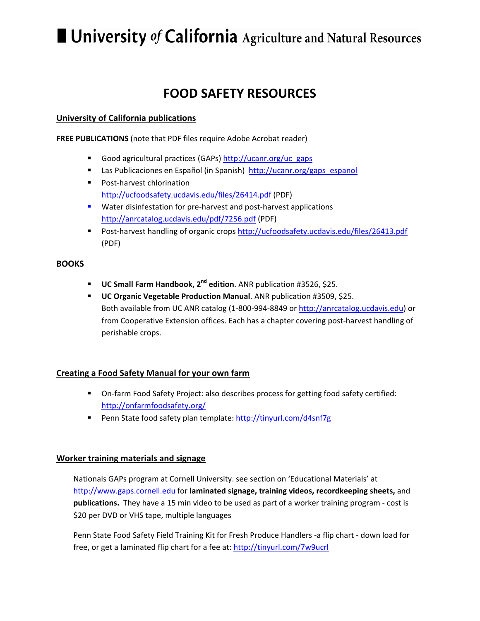# $\blacksquare$  University of California Agriculture and Natural Resources

# **FOOD SAFETY RESOURCES**

# **University of California publications**

**FREE PUBLICATIONS** (note that PDF files require Adobe Acrobat reader)

- Good agricultural practices (GAPs) http://ucanr.org/uc\_gaps
- Las Publicaciones en Español (in Spanish) http://ucanr.org/gaps\_espanol
- Post-harvest chlorination http://ucfoodsafety.ucdavis.edu/files/26414.pdf (PDF)
- Water disinfestation for pre-harvest and post-harvest applications http://anrcatalog.ucdavis.edu/pdf/7256.pdf (PDF)
- Post-harvest handling of organic crops http://ucfoodsafety.ucdavis.edu/files/26413.pdf (PDF)

#### **BOOKS**

- **UC Small Farm Handbook, 2nd edition**. ANR publication #3526, \$25.
- **UC Organic Vegetable Production Manual**. ANR publication #3509, \$25. Both available from UC ANR catalog (1‐800‐994‐8849 or http://anrcatalog.ucdavis.edu) or from Cooperative Extension offices. Each has a chapter covering post-harvest handling of perishable crops.

# **Creating a Food Safety Manual for your own farm**

- On-farm Food Safety Project: also describes process for getting food safety certified: http://onfarmfoodsafety.org/
- Penn State food safety plan template: http://tinyurl.com/d4snf7g

## **Worker training materials and signage**

Nationals GAPs program at Cornell University. see section on 'Educational Materials' at http://www.gaps.cornell.edu for **laminated signage, training videos, recordkeeping sheets,** and **publications.** They have a 15 min video to be used as part of a worker training program ‐ cost is \$20 per DVD or VHS tape, multiple languages

Penn State Food Safety Field Training Kit for Fresh Produce Handlers ‐a flip chart ‐ down load for free, or get a laminated flip chart for a fee at: http://tinyurl.com/7w9ucrl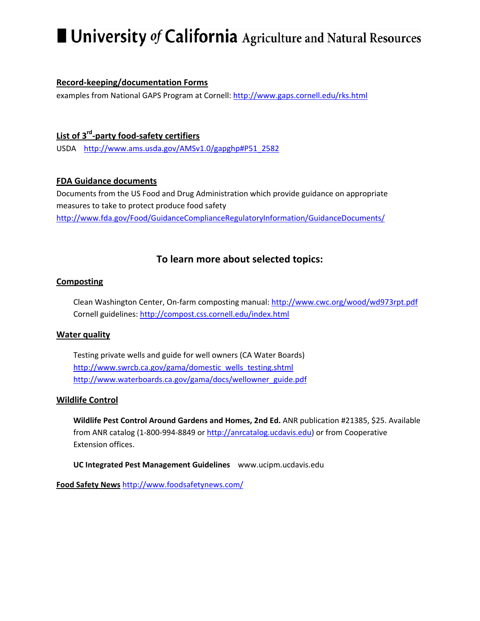# $\blacksquare$  University of California Agriculture and Natural Resources

# **Record‐keeping/documentation Forms**

examples from National GAPS Program at Cornell: http://www.gaps.cornell.edu/rks.html

# **List of 3rd‐party food‐safety certifiers**

USDA http://www.ams.usda.gov/AMSv1.0/gapghp#P51\_2582

## **FDA Guidance documents**

Documents from the US Food and Drug Administration which provide guidance on appropriate measures to take to protect produce food safety http://www.fda.gov/Food/GuidanceComplianceRegulatoryInformation/GuidanceDocuments/

# **To learn more about selected topics:**

## **Composting**

Clean Washington Center, On‐farm composting manual: http://www.cwc.org/wood/wd973rpt.pdf Cornell guidelines: http://compost.css.cornell.edu/index.html

## **Water quality**

Testing private wells and guide for well owners (CA Water Boards) http://www.swrcb.ca.gov/gama/domestic\_wells\_testing.shtml http://www.waterboards.ca.gov/gama/docs/wellowner\_guide.pdf

## **Wildlife Control**

**Wildlife Pest Control Around Gardens and Homes, 2nd Ed.** ANR publication #21385, \$25. Available from ANR catalog (1‐800‐994‐8849 or http://anrcatalog.ucdavis.edu) or from Cooperative Extension offices.

**UC Integrated Pest Management Guidelines** www.ucipm.ucdavis.edu

**Food Safety News** http://www.foodsafetynews.com/